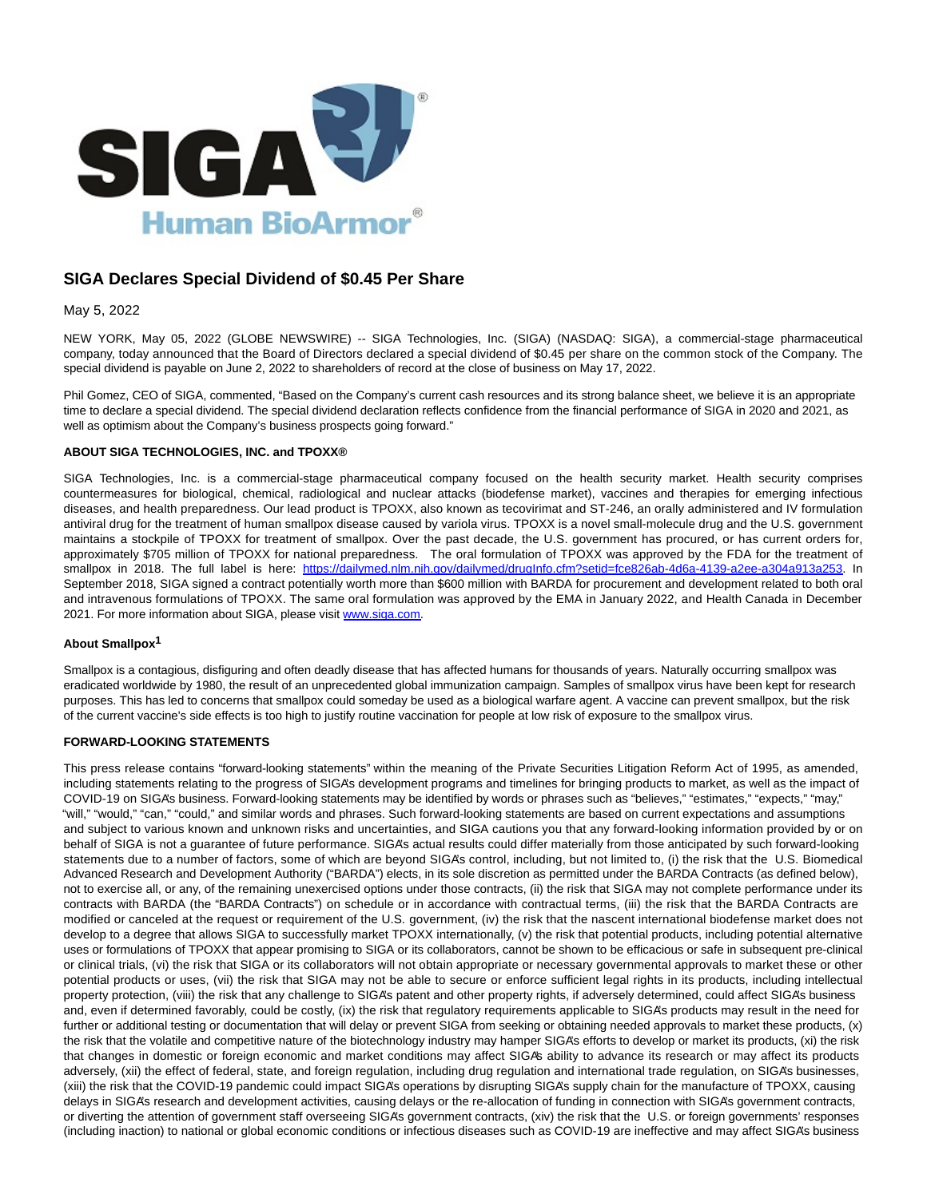

# **SIGA Declares Special Dividend of \$0.45 Per Share**

# May 5, 2022

NEW YORK, May 05, 2022 (GLOBE NEWSWIRE) -- SIGA Technologies, Inc. (SIGA) (NASDAQ: SIGA), a commercial-stage pharmaceutical company, today announced that the Board of Directors declared a special dividend of \$0.45 per share on the common stock of the Company. The special dividend is payable on June 2, 2022 to shareholders of record at the close of business on May 17, 2022.

Phil Gomez, CEO of SIGA, commented, "Based on the Company's current cash resources and its strong balance sheet, we believe it is an appropriate time to declare a special dividend. The special dividend declaration reflects confidence from the financial performance of SIGA in 2020 and 2021, as well as optimism about the Company's business prospects going forward."

## **ABOUT SIGA TECHNOLOGIES, INC. and TPOXX®**

SIGA Technologies, Inc. is a commercial-stage pharmaceutical company focused on the health security market. Health security comprises countermeasures for biological, chemical, radiological and nuclear attacks (biodefense market), vaccines and therapies for emerging infectious diseases, and health preparedness. Our lead product is TPOXX, also known as tecovirimat and ST-246, an orally administered and IV formulation antiviral drug for the treatment of human smallpox disease caused by variola virus. TPOXX is a novel small-molecule drug and the U.S. government maintains a stockpile of TPOXX for treatment of smallpox. Over the past decade, the U.S. government has procured, or has current orders for, approximately \$705 million of TPOXX for national preparedness. The oral formulation of TPOXX was approved by the FDA for the treatment of smallpox in 2018. The full label is here: [https://dailymed.nlm.nih.gov/dailymed/drugInfo.cfm?setid=fce826ab-4d6a-4139-a2ee-a304a913a253.](https://www.globenewswire.com/Tracker?data=WL52L93_xy-Pop8OkyuJsXfBnjE9PGceETxKbglbKJhqCvAsMCNi0ng2u2fbCFdMuIF5l0qkGPwxC1p1FsI-pDNaIgVGHYGmwRMKtfAmrL-12mL3kvwcEnrzdp-Qo1erwXpISlybOkck13cF-xYftQ3XePxX1krat_KkVez-TRHVjkTCW7IGE_Hzpfek9mpe7UGseNuMTO284WxF4qMLKI5K5g0UuZ5eIJVflSEKRu_FT_zMb0n3Al0I1vV8PRhJBqIbGaBukXHdJwc29kqJGw==) In September 2018, SIGA signed a contract potentially worth more than \$600 million with BARDA for procurement and development related to both oral and intravenous formulations of TPOXX. The same oral formulation was approved by the EMA in January 2022, and Health Canada in December 2021. For more information about SIGA, please visit [www.siga.com.](https://www.globenewswire.com/Tracker?data=54H-p7n_lMqm52KOoopCrb-5odODD8gGtoL_e5nEmJEIVF_TiBuGwiVNMGnNcyubFF-22ZFS800sR-mAs8RWHw==)

## **About Smallpox1**

Smallpox is a contagious, disfiguring and often deadly disease that has affected humans for thousands of years. Naturally occurring smallpox was eradicated worldwide by 1980, the result of an unprecedented global immunization campaign. Samples of smallpox virus have been kept for research purposes. This has led to concerns that smallpox could someday be used as a biological warfare agent. A vaccine can prevent smallpox, but the risk of the current vaccine's side effects is too high to justify routine vaccination for people at low risk of exposure to the smallpox virus.

## **FORWARD-LOOKING STATEMENTS**

This press release contains "forward-looking statements" within the meaning of the Private Securities Litigation Reform Act of 1995, as amended, including statements relating to the progress of SIGA's development programs and timelines for bringing products to market, as well as the impact of COVID-19 on SIGA's business. Forward-looking statements may be identified by words or phrases such as "believes," "estimates," "expects," "may," "will," "would," "can," "could," and similar words and phrases. Such forward-looking statements are based on current expectations and assumptions and subject to various known and unknown risks and uncertainties, and SIGA cautions you that any forward-looking information provided by or on behalf of SIGA is not a guarantee of future performance. SIGA's actual results could differ materially from those anticipated by such forward-looking statements due to a number of factors, some of which are beyond SIGA's control, including, but not limited to, (i) the risk that the U.S. Biomedical Advanced Research and Development Authority ("BARDA") elects, in its sole discretion as permitted under the BARDA Contracts (as defined below), not to exercise all, or any, of the remaining unexercised options under those contracts, (ii) the risk that SIGA may not complete performance under its contracts with BARDA (the "BARDA Contracts") on schedule or in accordance with contractual terms, (iii) the risk that the BARDA Contracts are modified or canceled at the request or requirement of the U.S. government, (iv) the risk that the nascent international biodefense market does not develop to a degree that allows SIGA to successfully market TPOXX internationally, (v) the risk that potential products, including potential alternative uses or formulations of TPOXX that appear promising to SIGA or its collaborators, cannot be shown to be efficacious or safe in subsequent pre-clinical or clinical trials, (vi) the risk that SIGA or its collaborators will not obtain appropriate or necessary governmental approvals to market these or other potential products or uses, (vii) the risk that SIGA may not be able to secure or enforce sufficient legal rights in its products, including intellectual property protection, (viii) the risk that any challenge to SIGA's patent and other property rights, if adversely determined, could affect SIGA's business and, even if determined favorably, could be costly, (ix) the risk that regulatory requirements applicable to SIGA's products may result in the need for further or additional testing or documentation that will delay or prevent SIGA from seeking or obtaining needed approvals to market these products, (x) the risk that the volatile and competitive nature of the biotechnology industry may hamper SIGA's efforts to develop or market its products, (xi) the risk that changes in domestic or foreign economic and market conditions may affect SIGA's ability to advance its research or may affect its products adversely, (xii) the effect of federal, state, and foreign regulation, including drug regulation and international trade regulation, on SIGA's businesses, (xiii) the risk that the COVID-19 pandemic could impact SIGA's operations by disrupting SIGA's supply chain for the manufacture of TPOXX, causing delays in SIGA's research and development activities, causing delays or the re-allocation of funding in connection with SIGA's government contracts, or diverting the attention of government staff overseeing SIGA's government contracts, (xiv) the risk that the U.S. or foreign governments' responses (including inaction) to national or global economic conditions or infectious diseases such as COVID-19 are ineffective and may affect SIGA's business